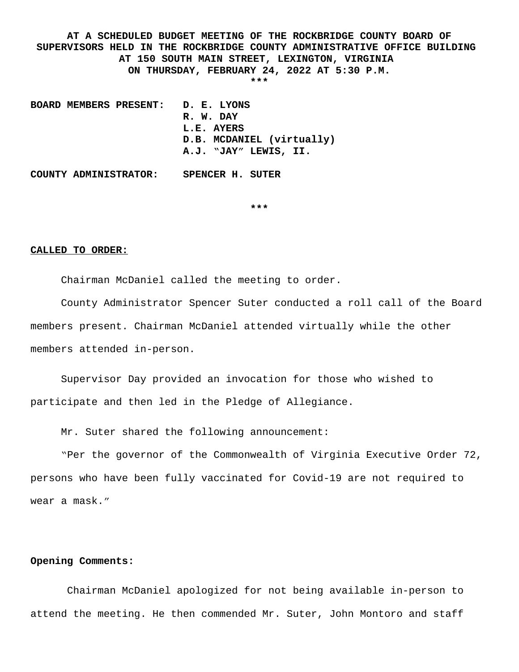**AT A SCHEDULED BUDGET MEETING OF THE ROCKBRIDGE COUNTY BOARD OF SUPERVISORS HELD IN THE ROCKBRIDGE COUNTY ADMINISTRATIVE OFFICE BUILDING AT 150 SOUTH MAIN STREET, LEXINGTON, VIRGINIA ON THURSDAY, FEBRUARY 24, 2022 AT 5:30 P.M. \*\*\***

**BOARD MEMBERS PRESENT: D. E. LYONS R. W. DAY L.E. AYERS D.B. MCDANIEL (virtually) A.J. "JAY" LEWIS, II.**

**COUNTY ADMINISTRATOR: SPENCER H. SUTER**

**\*\*\***

## **CALLED TO ORDER:**

Chairman McDaniel called the meeting to order.

County Administrator Spencer Suter conducted a roll call of the Board members present. Chairman McDaniel attended virtually while the other members attended in-person.

Supervisor Day provided an invocation for those who wished to participate and then led in the Pledge of Allegiance.

Mr. Suter shared the following announcement:

"Per the governor of the Commonwealth of Virginia Executive Order 72, persons who have been fully vaccinated for Covid-19 are not required to wear a mask."

## **Opening Comments:**

Chairman McDaniel apologized for not being available in-person to attend the meeting. He then commended Mr. Suter, John Montoro and staff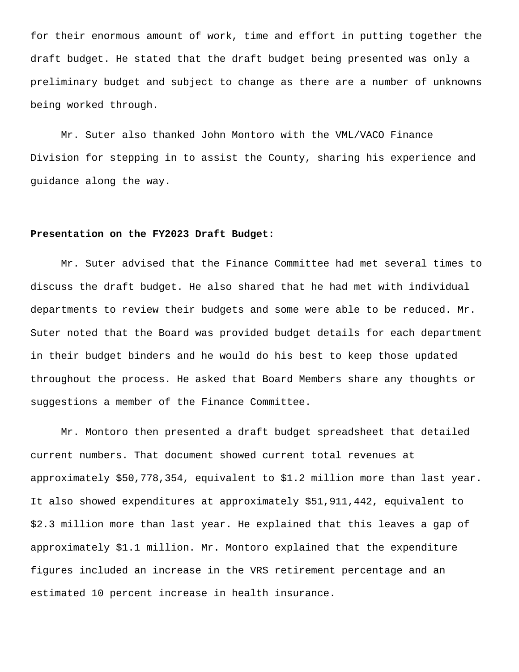for their enormous amount of work, time and effort in putting together the draft budget. He stated that the draft budget being presented was only a preliminary budget and subject to change as there are a number of unknowns being worked through.

Mr. Suter also thanked John Montoro with the VML/VACO Finance Division for stepping in to assist the County, sharing his experience and guidance along the way.

## **Presentation on the FY2023 Draft Budget:**

Mr. Suter advised that the Finance Committee had met several times to discuss the draft budget. He also shared that he had met with individual departments to review their budgets and some were able to be reduced. Mr. Suter noted that the Board was provided budget details for each department in their budget binders and he would do his best to keep those updated throughout the process. He asked that Board Members share any thoughts or suggestions a member of the Finance Committee.

Mr. Montoro then presented a draft budget spreadsheet that detailed current numbers. That document showed current total revenues at approximately \$50,778,354, equivalent to \$1.2 million more than last year. It also showed expenditures at approximately \$51,911,442, equivalent to \$2.3 million more than last year. He explained that this leaves a gap of approximately \$1.1 million. Mr. Montoro explained that the expenditure figures included an increase in the VRS retirement percentage and an estimated 10 percent increase in health insurance.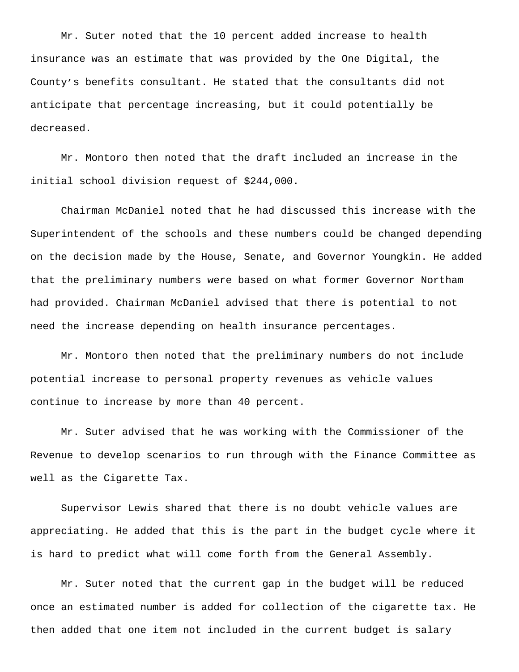Mr. Suter noted that the 10 percent added increase to health insurance was an estimate that was provided by the One Digital, the County's benefits consultant. He stated that the consultants did not anticipate that percentage increasing, but it could potentially be decreased.

Mr. Montoro then noted that the draft included an increase in the initial school division request of \$244,000.

Chairman McDaniel noted that he had discussed this increase with the Superintendent of the schools and these numbers could be changed depending on the decision made by the House, Senate, and Governor Youngkin. He added that the preliminary numbers were based on what former Governor Northam had provided. Chairman McDaniel advised that there is potential to not need the increase depending on health insurance percentages.

Mr. Montoro then noted that the preliminary numbers do not include potential increase to personal property revenues as vehicle values continue to increase by more than 40 percent.

Mr. Suter advised that he was working with the Commissioner of the Revenue to develop scenarios to run through with the Finance Committee as well as the Cigarette Tax.

Supervisor Lewis shared that there is no doubt vehicle values are appreciating. He added that this is the part in the budget cycle where it is hard to predict what will come forth from the General Assembly.

Mr. Suter noted that the current gap in the budget will be reduced once an estimated number is added for collection of the cigarette tax. He then added that one item not included in the current budget is salary